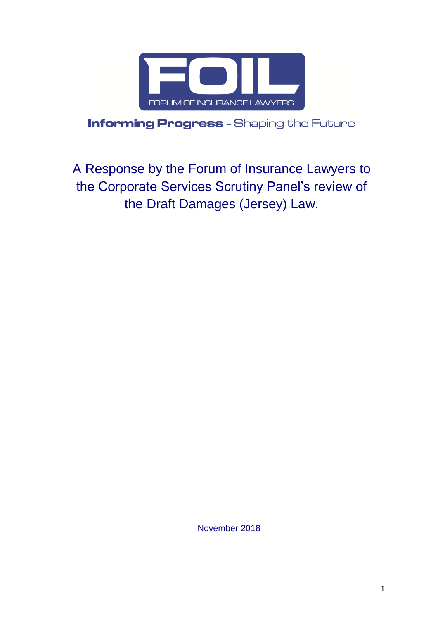

**Informing Progress** - Shaping the Future

A Response by the Forum of Insurance Lawyers to the Corporate Services Scrutiny Panel's review of the Draft Damages (Jersey) Law.

November 2018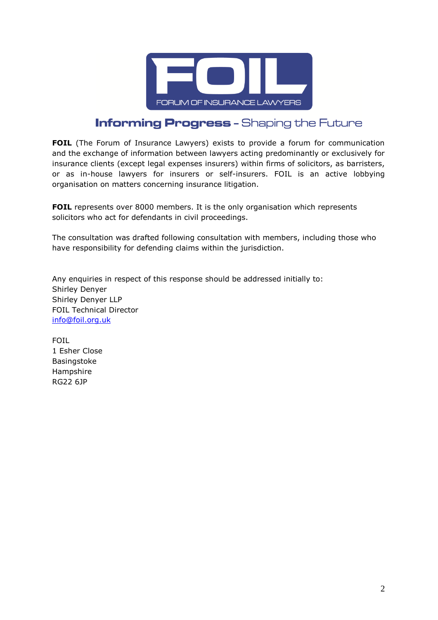

# **Informing Progress - Shaping the Future**

**FOIL** (The Forum of Insurance Lawyers) exists to provide a forum for communication and the exchange of information between lawyers acting predominantly or exclusively for insurance clients (except legal expenses insurers) within firms of solicitors, as barristers, or as in-house lawyers for insurers or self-insurers. FOIL is an active lobbying organisation on matters concerning insurance litigation.

**FOIL** represents over 8000 members. It is the only organisation which represents solicitors who act for defendants in civil proceedings.

The consultation was drafted following consultation with members, including those who have responsibility for defending claims within the jurisdiction.

Any enquiries in respect of this response should be addressed initially to: Shirley Denyer Shirley Denyer LLP FOIL Technical Director [info@foil.org.uk](mailto:info@foil.org.uk)

FOIL 1 Esher Close Basingstoke Hampshire RG22 6JP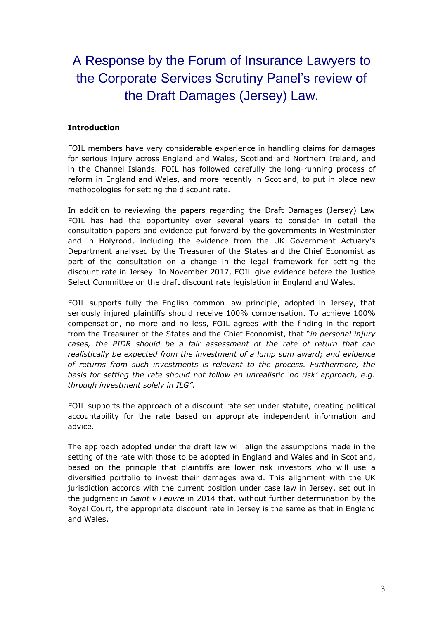A Response by the Forum of Insurance Lawyers to the Corporate Services Scrutiny Panel's review of the Draft Damages (Jersey) Law.

### **Introduction**

FOIL members have very considerable experience in handling claims for damages for serious injury across England and Wales, Scotland and Northern Ireland, and in the Channel Islands. FOIL has followed carefully the long-running process of reform in England and Wales, and more recently in Scotland, to put in place new methodologies for setting the discount rate.

In addition to reviewing the papers regarding the Draft Damages (Jersey) Law FOIL has had the opportunity over several years to consider in detail the consultation papers and evidence put forward by the governments in Westminster and in Holyrood, including the evidence from the UK Government Actuary's Department analysed by the Treasurer of the States and the Chief Economist as part of the consultation on a change in the legal framework for setting the discount rate in Jersey. In November 2017, FOIL give evidence before the Justice Select Committee on the draft discount rate legislation in England and Wales.

FOIL supports fully the English common law principle, adopted in Jersey, that seriously injured plaintiffs should receive 100% compensation. To achieve 100% compensation, no more and no less, FOIL agrees with the finding in the report from the Treasurer of the States and the Chief Economist, that "*in personal injury cases, the PIDR should be a fair assessment of the rate of return that can realistically be expected from the investment of a lump sum award; and evidence of returns from such investments is relevant to the process. Furthermore, the basis for setting the rate should not follow an unrealistic 'no risk' approach, e.g. through investment solely in ILG".*

FOIL supports the approach of a discount rate set under statute, creating political accountability for the rate based on appropriate independent information and advice.

The approach adopted under the draft law will align the assumptions made in the setting of the rate with those to be adopted in England and Wales and in Scotland, based on the principle that plaintiffs are lower risk investors who will use a diversified portfolio to invest their damages award. This alignment with the UK jurisdiction accords with the current position under case law in Jersey, set out in the judgment in *Saint v Feuvre* in 2014 that, without further determination by the Royal Court, the appropriate discount rate in Jersey is the same as that in England and Wales.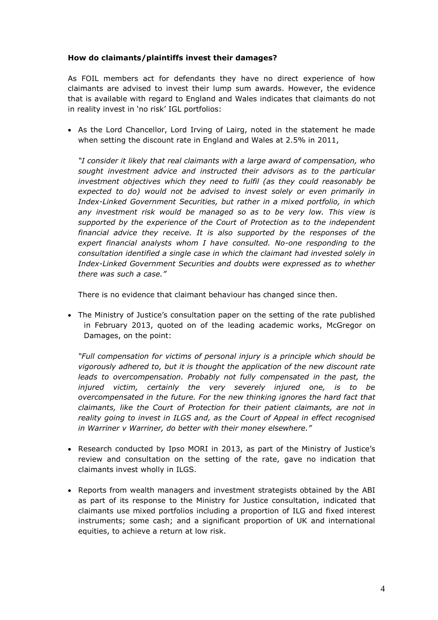### **How do claimants/plaintiffs invest their damages?**

As FOIL members act for defendants they have no direct experience of how claimants are advised to invest their lump sum awards. However, the evidence that is available with regard to England and Wales indicates that claimants do not in reality invest in 'no risk' IGL portfolios:

• As the Lord Chancellor, Lord Irving of Lairg, noted in the statement he made when setting the discount rate in England and Wales at 2.5% in 2011,

*"I consider it likely that real claimants with a large award of compensation, who sought investment advice and instructed their advisors as to the particular investment objectives which they need to fulfil (as they could reasonably be expected to do) would not be advised to invest solely or even primarily in Index-Linked Government Securities, but rather in a mixed portfolio, in which any investment risk would be managed so as to be very low. This view is supported by the experience of the Court of Protection as to the independent financial advice they receive. It is also supported by the responses of the expert financial analysts whom I have consulted. No-one responding to the consultation identified a single case in which the claimant had invested solely in Index-Linked Government Securities and doubts were expressed as to whether there was such a case."* 

There is no evidence that claimant behaviour has changed since then.

 The Ministry of Justice's consultation paper on the setting of the rate published in February 2013, quoted on of the leading academic works, McGregor on Damages, on the point:

*"Full compensation for victims of personal injury is a principle which should be vigorously adhered to, but it is thought the application of the new discount rate leads to overcompensation. Probably not fully compensated in the past, the injured victim, certainly the very severely injured one, is to be overcompensated in the future. For the new thinking ignores the hard fact that claimants, like the Court of Protection for their patient claimants, are not in reality going to invest in ILGS and, as the Court of Appeal in effect recognised in Warriner v Warriner, do better with their money elsewhere."* 

- Research conducted by Ipso MORI in 2013, as part of the Ministry of Justice's review and consultation on the setting of the rate, gave no indication that claimants invest wholly in ILGS.
- Reports from wealth managers and investment strategists obtained by the ABI as part of its response to the Ministry for Justice consultation, indicated that claimants use mixed portfolios including a proportion of ILG and fixed interest instruments; some cash; and a significant proportion of UK and international equities, to achieve a return at low risk.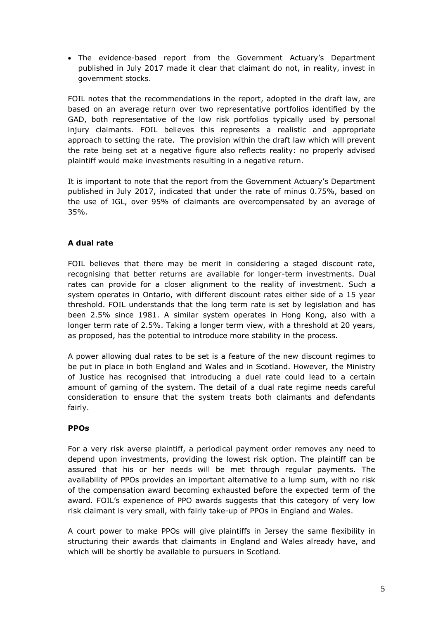The evidence-based report from the Government Actuary's Department published in July 2017 made it clear that claimant do not, in reality, invest in government stocks.

FOIL notes that the recommendations in the report, adopted in the draft law, are based on an average return over two representative portfolios identified by the GAD, both representative of the low risk portfolios typically used by personal injury claimants. FOIL believes this represents a realistic and appropriate approach to setting the rate. The provision within the draft law which will prevent the rate being set at a negative figure also reflects reality: no properly advised plaintiff would make investments resulting in a negative return.

It is important to note that the report from the Government Actuary's Department published in July 2017, indicated that under the rate of minus 0.75%, based on the use of IGL, over 95% of claimants are overcompensated by an average of 35%.

## **A dual rate**

FOIL believes that there may be merit in considering a staged discount rate, recognising that better returns are available for longer-term investments. Dual rates can provide for a closer alignment to the reality of investment. Such a system operates in Ontario, with different discount rates either side of a 15 year threshold. FOIL understands that the long term rate is set by legislation and has been 2.5% since 1981. A similar system operates in Hong Kong, also with a longer term rate of 2.5%. Taking a longer term view, with a threshold at 20 years, as proposed, has the potential to introduce more stability in the process.

A power allowing dual rates to be set is a feature of the new discount regimes to be put in place in both England and Wales and in Scotland. However, the Ministry of Justice has recognised that introducing a duel rate could lead to a certain amount of gaming of the system. The detail of a dual rate regime needs careful consideration to ensure that the system treats both claimants and defendants fairly.

## **PPOs**

For a very risk averse plaintiff, a periodical payment order removes any need to depend upon investments, providing the lowest risk option. The plaintiff can be assured that his or her needs will be met through regular payments. The availability of PPOs provides an important alternative to a lump sum, with no risk of the compensation award becoming exhausted before the expected term of the award. FOIL's experience of PPO awards suggests that this category of very low risk claimant is very small, with fairly take-up of PPOs in England and Wales.

A court power to make PPOs will give plaintiffs in Jersey the same flexibility in structuring their awards that claimants in England and Wales already have, and which will be shortly be available to pursuers in Scotland.